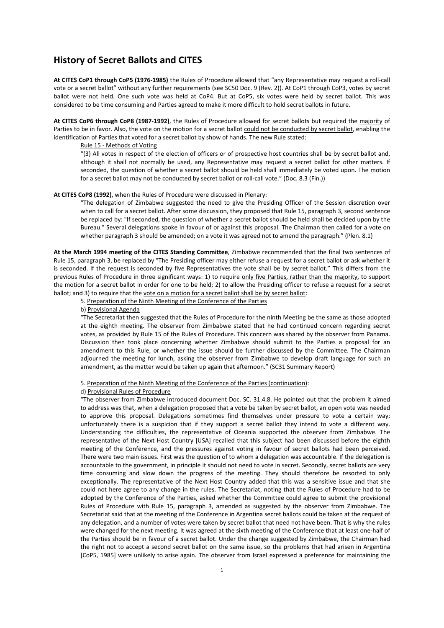# **History of Secret Ballots and CITES**

**At CITES CoP1 through CoP5 (1976‐1985)** the Rules of Procedure allowed that "any Representative may request a roll‐call vote or a secret ballot" without any further requirements (see SC50 Doc. 9 (Rev. 2)). At CoP1 through CoP3, votes by secret ballot were not held. One such vote was held at CoP4. But at CoP5, six votes were held by secret ballot. This was considered to be time consuming and Parties agreed to make it more difficult to hold secret ballots in future.

**At CITES CoP6 through CoP8 (1987‐1992)**, the Rules of Procedure allowed for secret ballots but required the majority of Parties to be in favor. Also, the vote on the motion for a secret ballot could not be conducted by secret ballot, enabling the identification of Parties that voted for a secret ballot by show of hands. The new Rule stated:

## Rule 15 ‐ Methods of Voting

"(3) All votes in respect of the election of officers or of prospective host countries shall be by secret ballot and, although it shall not normally be used, any Representative may request a secret ballot for other matters. If seconded, the question of whether a secret ballot should be held shall immediately be voted upon. The motion for a secret ballot may not be conducted by secret ballot or roll‐call vote." (Doc. 8.3 (Fin.))

# **At CITES CoP8 (1992)**, when the Rules of Procedure were discussed in Plenary:

"The delegation of Zimbabwe suggested the need to give the Presiding Officer of the Session discretion over when to call for a secret ballot. After some discussion, they proposed that Rule 15, paragraph 3, second sentence be replaced by: "If seconded, the question of whether a secret ballot should be held shall be decided upon by the Bureau." Several delegations spoke in favour of or against this proposal. The Chairman then called for a vote on whether paragraph 3 should be amended; on a vote it was agreed not to amend the paragraph." (Plen. 8.1)

**At the March 1994 meeting of the CITES Standing Committee**, Zimbabwe recommended that the final two sentences of Rule 15, paragraph 3, be replaced by "The Presiding officer may either refuse a request for a secret ballot or ask whether it is seconded. If the request is seconded by five Representatives the vote shall be by secret ballot." This differs from the previous Rules of Procedure in three significant ways: 1) to require only five Parties, rather than the majority, to support the motion for a secret ballot in order for one to be held; 2) to allow the Presiding officer to refuse a request for a secret ballot; and 3) to require that the vote on a motion for a secret ballot shall be by secret ballot:

5. Preparation of the Ninth Meeting of the Conference of the Parties

# b) Provisional Agenda

"The Secretariat then suggested that the Rules of Procedure for the ninth Meeting be the same as those adopted at the eighth meeting. The observer from Zimbabwe stated that he had continued concern regarding secret votes, as provided by Rule 15 of the Rules of Procedure. This concern was shared by the observer from Panama. Discussion then took place concerning whether Zimbabwe should submit to the Parties a proposal for an amendment to this Rule, or whether the issue should be further discussed by the Committee. The Chairman adjourned the meeting for lunch, asking the observer from Zimbabwe to develop draft language for such an amendment, as the matter would be taken up again that afternoon." (SC31 Summary Report)

5. Preparation of the Ninth Meeting of the Conference of the Parties (continuation):

### d) Provisional Rules of Procedure

"The observer from Zimbabwe introduced document Doc. SC. 31.4.8. He pointed out that the problem it aimed to address was that, when a delegation proposed that a vote be taken by secret ballot, an open vote was needed to approve this proposal. Delegations sometimes find themselves under pressure to vote a certain way; unfortunately there is a suspicion that if they support a secret ballot they intend to vote a different way. Understanding the difficulties, the representative of Oceania supported the observer from Zimbabwe. The representative of the Next Host Country [USA] recalled that this subject had been discussed before the eighth meeting of the Conference, and the pressures against voting in favour of secret ballots had been perceived. There were two main issues. First was the question of to whom a delegation was accountable. If the delegation is accountable to the government, in principle it should not need to vote in secret. Secondly, secret ballots are very time consuming and slow down the progress of the meeting. They should therefore be resorted to only exceptionally. The representative of the Next Host Country added that this was a sensitive issue and that she could not here agree to any change in the rules. The Secretariat, noting that the Rules of Procedure had to be adopted by the Conference of the Parties, asked whether the Committee could agree to submit the provisional Rules of Procedure with Rule 15, paragraph 3, amended as suggested by the observer from Zimbabwe. The Secretariat said that at the meeting of the Conference in Argentina secret ballots could be taken at the request of any delegation, and a number of votes were taken by secret ballot that need not have been. That is why the rules were changed for the next meeting. It was agreed at the sixth meeting of the Conference that at least one-half of the Parties should be in favour of a secret ballot. Under the change suggested by Zimbabwe, the Chairman had the right not to accept a second secret ballot on the same issue, so the problems that had arisen in Argentina [CoP5, 1985] were unlikely to arise again. The observer from Israel expressed a preference for maintaining the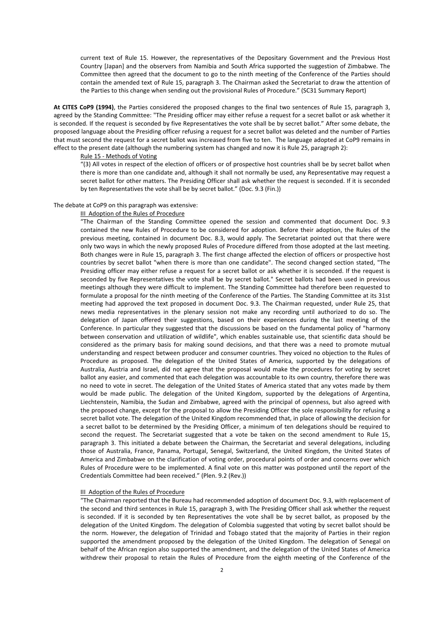current text of Rule 15. However, the representatives of the Depositary Government and the Previous Host Country [Japan] and the observers from Namibia and South Africa supported the suggestion of Zimbabwe. The Committee then agreed that the document to go to the ninth meeting of the Conference of the Parties should contain the amended text of Rule 15, paragraph 3. The Chairman asked the Secretariat to draw the attention of the Parties to this change when sending out the provisional Rules of Procedure." (SC31 Summary Report)

**At CITES CoP9 (1994)**, the Parties considered the proposed changes to the final two sentences of Rule 15, paragraph 3, agreed by the Standing Committee: "The Presiding officer may either refuse a request for a secret ballot or ask whether it is seconded. If the request is seconded by five Representatives the vote shall be by secret ballot." After some debate, the proposed language about the Presiding officer refusing a request for a secret ballot was deleted and the number of Parties that must second the request for a secret ballot was increased from five to ten. The language adopted at CoP9 remains in effect to the present date (although the numbering system has changed and now it is Rule 25, paragraph 2):

### Rule 15 ‐ Methods of Voting

"(3) All votes in respect of the election of officers or of prospective host countries shall be by secret ballot when there is more than one candidate and, although it shall not normally be used, any Representative may request a secret ballot for other matters. The Presiding Officer shall ask whether the request is seconded. If it is seconded by ten Representatives the vote shall be by secret ballot." (Doc. 9.3 (Fin.))

### The debate at CoP9 on this paragraph was extensive:

### III Adoption of the Rules of Procedure

"The Chairman of the Standing Committee opened the session and commented that document Doc. 9.3 contained the new Rules of Procedure to be considered for adoption. Before their adoption, the Rules of the previous meeting, contained in document Doc. 8.3, would apply. The Secretariat pointed out that there were only two ways in which the newly proposed Rules of Procedure differed from those adopted at the last meeting. Both changes were in Rule 15, paragraph 3. The first change affected the election of officers or prospective host countries by secret ballot "when there is more than one candidate". The second changed section stated, "The Presiding officer may either refuse a request for a secret ballot or ask whether it is seconded. If the request is seconded by five Representatives the vote shall be by secret ballot." Secret ballots had been used in previous meetings although they were difficult to implement. The Standing Committee had therefore been requested to formulate a proposal for the ninth meeting of the Conference of the Parties. The Standing Committee at its 31st meeting had approved the text proposed in document Doc. 9.3. The Chairman requested, under Rule 25, that news media representatives in the plenary session not make any recording until authorized to do so. The delegation of Japan offered their suggestions, based on their experiences during the last meeting of the Conference. In particular they suggested that the discussions be based on the fundamental policy of "harmony between conservation and utilization of wildlife", which enables sustainable use, that scientific data should be considered as the primary basis for making sound decisions, and that there was a need to promote mutual understanding and respect between producer and consumer countries. They voiced no objection to the Rules of Procedure as proposed. The delegation of the United States of America, supported by the delegations of Australia, Austria and Israel, did not agree that the proposal would make the procedures for voting by secret ballot any easier, and commented that each delegation was accountable to its own country, therefore there was no need to vote in secret. The delegation of the United States of America stated that any votes made by them would be made public. The delegation of the United Kingdom, supported by the delegations of Argentina, Liechtenstein, Namibia, the Sudan and Zimbabwe, agreed with the principal of openness, but also agreed with the proposed change, except for the proposal to allow the Presiding Officer the sole responsibility for refusing a secret ballot vote. The delegation of the United Kingdom recommended that, in place of allowing the decision for a secret ballot to be determined by the Presiding Officer, a minimum of ten delegations should be required to second the request. The Secretariat suggested that a vote be taken on the second amendment to Rule 15, paragraph 3. This initiated a debate between the Chairman, the Secretariat and several delegations, including those of Australia, France, Panama, Portugal, Senegal, Switzerland, the United Kingdom, the United States of America and Zimbabwe on the clarification of voting order, procedural points of order and concerns over which Rules of Procedure were to be implemented. A final vote on this matter was postponed until the report of the Credentials Committee had been received." (Plen. 9.2 (Rev.))

### III Adoption of the Rules of Procedure

"The Chairman reported that the Bureau had recommended adoption of document Doc. 9.3, with replacement of the second and third sentences in Rule 15, paragraph 3, with The Presiding Officer shall ask whether the request is seconded. If it is seconded by ten Representatives the vote shall be by secret ballot, as proposed by the delegation of the United Kingdom. The delegation of Colombia suggested that voting by secret ballot should be the norm. However, the delegation of Trinidad and Tobago stated that the majority of Parties in their region supported the amendment proposed by the delegation of the United Kingdom. The delegation of Senegal on behalf of the African region also supported the amendment, and the delegation of the United States of America withdrew their proposal to retain the Rules of Procedure from the eighth meeting of the Conference of the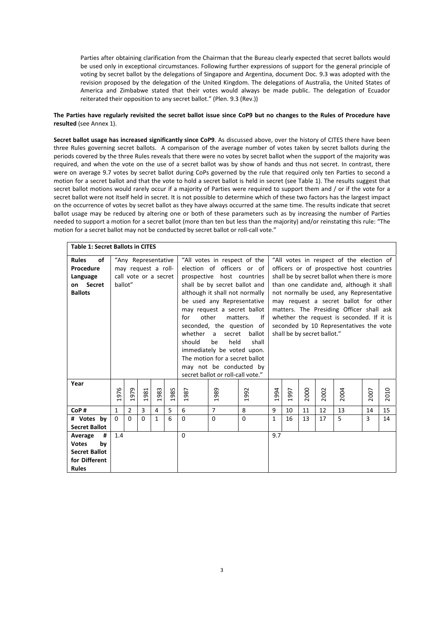Parties after obtaining clarification from the Chairman that the Bureau clearly expected that secret ballots would be used only in exceptional circumstances. Following further expressions of support for the general principle of voting by secret ballot by the delegations of Singapore and Argentina, document Doc. 9.3 was adopted with the revision proposed by the delegation of the United Kingdom. The delegations of Australia, the United States of America and Zimbabwe stated that their votes would always be made public. The delegation of Ecuador reiterated their opposition to any secret ballot." (Plen. 9.3 (Rev.))

# The Parties have regularly revisited the secret ballot issue since CoP9 but no changes to the Rules of Procedure have **resulted** (see Annex 1).

**Secret ballot usage has increased significantly since CoP9**. As discussed above, over the history of CITES there have been three Rules governing secret ballots. A comparison of the average number of votes taken by secret ballots during the periods covered by the three Rules reveals that there were no votes by secret ballot when the support of the majority was required, and when the vote on the use of a secret ballot was by show of hands and thus not secret. In contrast, there were on average 9.7 votes by secret ballot during CoPs governed by the rule that required only ten Parties to second a motion for a secret ballot and that the vote to hold a secret ballot is held in secret (see Table 1). The results suggest that secret ballot motions would rarely occur if a majority of Parties were required to support them and / or if the vote for a secret ballot were not itself held in secret. It is not possible to determine which of these two factors has the largest impact on the occurrence of votes by secret ballot as they have always occurred at the same time. The results indicate that secret ballot usage may be reduced by altering one or both of these parameters such as by increasing the number of Parties needed to support a motion for a secret ballot (more than ten but less than the majority) and/or reinstating this rule: "The motion for a secret ballot may not be conducted by secret ballot or roll-call vote."

| <b>Table 1: Secret Ballots in CITES</b> |                       |                |          |              |      |                                                                            |                                           |          |              |                                           |      |      |      |      |      |  |
|-----------------------------------------|-----------------------|----------------|----------|--------------|------|----------------------------------------------------------------------------|-------------------------------------------|----------|--------------|-------------------------------------------|------|------|------|------|------|--|
| of<br><b>Rules</b>                      | "Any Representative   |                |          |              |      | "All votes in respect of the election of<br>"All votes in respect of the   |                                           |          |              |                                           |      |      |      |      |      |  |
| Procedure                               | may request a roll-   |                |          |              |      | election of officers or of<br>officers or of prospective host countries    |                                           |          |              |                                           |      |      |      |      |      |  |
| Language                                | call vote or a secret |                |          |              |      | shall be by secret ballot when there is more<br>prospective host countries |                                           |          |              |                                           |      |      |      |      |      |  |
| Secret<br>on                            | ballot"               |                |          |              |      | shall be by secret ballot and                                              | than one candidate and, although it shall |          |              |                                           |      |      |      |      |      |  |
| <b>Ballots</b>                          |                       |                |          |              |      | although it shall not normally                                             |                                           |          |              | not normally be used, any Representative  |      |      |      |      |      |  |
|                                         |                       |                |          |              |      | be used any Representative                                                 |                                           |          |              | may request a secret ballot for other     |      |      |      |      |      |  |
|                                         |                       |                |          |              |      | may request a secret ballot                                                |                                           |          |              | matters. The Presiding Officer shall ask  |      |      |      |      |      |  |
|                                         |                       |                |          |              |      | other<br>for<br>matters.<br>-lf                                            |                                           |          |              | whether the request is seconded. If it is |      |      |      |      |      |  |
|                                         |                       |                |          |              |      | seconded, the question of                                                  |                                           |          |              | seconded by 10 Representatives the vote   |      |      |      |      |      |  |
|                                         |                       |                |          |              |      | whether<br>ballot<br>secret<br>a                                           |                                           |          |              | shall be by secret ballot."               |      |      |      |      |      |  |
|                                         |                       |                |          |              |      | should<br>be<br>held<br>shall                                              |                                           |          |              |                                           |      |      |      |      |      |  |
|                                         |                       |                |          |              |      | immediately be voted upon.                                                 |                                           |          |              |                                           |      |      |      |      |      |  |
|                                         |                       |                |          |              |      | The motion for a secret ballot                                             |                                           |          |              |                                           |      |      |      |      |      |  |
|                                         |                       |                |          |              |      | may not be conducted by                                                    |                                           |          |              |                                           |      |      |      |      |      |  |
|                                         |                       |                |          |              |      | secret ballot or roll-call vote."                                          |                                           |          |              |                                           |      |      |      |      |      |  |
| Year                                    |                       |                |          |              |      |                                                                            |                                           |          |              |                                           |      |      |      |      |      |  |
|                                         | 976                   | 1979           | 1981     | 1983         | 1985 | 1987                                                                       | 1989                                      | 1992     | 1994         | 997                                       | 2000 | 2002 | 2004 | 2007 | 2010 |  |
|                                         |                       |                |          |              |      |                                                                            |                                           |          |              |                                           |      |      |      |      |      |  |
| CoP#                                    | 1                     | $\overline{2}$ | 3        | 4            | 5    | 6                                                                          | $\overline{7}$                            | 8        | 9            | 10                                        | 11   | 12   | 13   | 14   | 15   |  |
| # Votes by                              | $\Omega$              | $\Omega$       | $\Omega$ | $\mathbf{1}$ | 6    | $\Omega$                                                                   | $\Omega$                                  | $\Omega$ | $\mathbf{1}$ | 16                                        | 13   | 17   | 5    | 3    | 14   |  |
| <b>Secret Ballot</b>                    |                       |                |          |              |      |                                                                            |                                           |          |              |                                           |      |      |      |      |      |  |
| Average<br>#                            | 1.4                   |                |          |              |      | $\Omega$                                                                   |                                           |          | 9.7          |                                           |      |      |      |      |      |  |
| <b>Votes</b><br>by                      |                       |                |          |              |      |                                                                            |                                           |          |              |                                           |      |      |      |      |      |  |
| <b>Secret Ballot</b>                    |                       |                |          |              |      |                                                                            |                                           |          |              |                                           |      |      |      |      |      |  |
| for Different                           |                       |                |          |              |      |                                                                            |                                           |          |              |                                           |      |      |      |      |      |  |
| <b>Rules</b>                            |                       |                |          |              |      |                                                                            |                                           |          |              |                                           |      |      |      |      |      |  |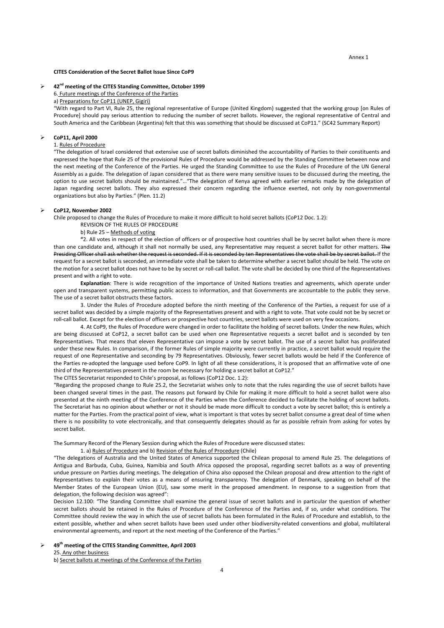#### Annex 1

#### **CITES Consideration of the Secret Ballot Issue Since CoP9**

# **42nd meeting of the CITES Standing Committee, October 1999**

6. Future meetings of the Conference of the Parties

a) Preparations for CoP11 (UNEP, Gigiri)

"With regard to Part VI, Rule 25, the regional representative of Europe (United Kingdom) suggested that the working group [on Rules of Procedure] should pay serious attention to reducing the number of secret ballots. However, the regional representative of Central and South America and the Caribbean (Argentina) felt that this was something that should be discussed at CoP11." (SC42 Summary Report)

#### **CoP11, April 2000**

# 1. Rules of Procedure

"The delegation of Israel considered that extensive use of secret ballots diminished the accountability of Parties to their constituents and expressed the hope that Rule 25 of the provisional Rules of Procedure would be addressed by the Standing Committee between now and the next meeting of the Conference of the Parties. He urged the Standing Committee to use the Rules of Procedure of the UN General Assembly as a guide. The delegation of Japan considered that as there were many sensitive issues to be discussed during the meeting, the option to use secret ballots should be maintained."…"The delegation of Kenya agreed with earlier remarks made by the delegation of Japan regarding secret ballots. They also expressed their concern regarding the influence exerted, not only by non-governmental organizations but also by Parties." (Plen. 11.2)

#### **CoP12, November 2002**

Chile proposed to change the Rules of Procedure to make it more difficult to hold secret ballots (CoP12 Doc. 1.2):

REVISION OF THE RULES OF PROCEDURE

b) Rule 25 – Methods of voting

**"**2. All votes in respect of the election of officers or of prospective host countries shall be by secret ballot when there is more than one candidate and, although it shall not normally be used, any Representative may request a secret ballot for other matters. The Presiding Officer shall ask whether the request is seconded. If it is seconded by ten Representatives the vote shall be by secret ballot. If the request for a secret ballot is seconded, an immediate vote shall be taken to determine whether a secret ballot should be held. The vote on the motion for a secret ballot does not have to be by secret or roll‐call ballot. The vote shall be decided by one third of the Representatives present and with a right to vote.

**Explanation**: There is wide recognition of the importance of United Nations treaties and agreements, which operate under open and transparent systems, permitting public access to information, and that Governments are accountable to the public they serve. The use of a secret ballot obstructs these factors.

3. Under the Rules of Procedure adopted before the ninth meeting of the Conference of the Parties, a request for use of a secret ballot was decided by a simple majority of the Representatives present and with a right to vote. That vote could not be by secret or roll-call ballot. Except for the election of officers or prospective host countries, secret ballots were used on very few occasions.

4. At CoP9, the Rules of Procedure were changed in order to facilitate the holding of secret ballots. Under the new Rules, which are being discussed at CoP12, a secret ballot can be used when one Representative requests a secret ballot and is seconded by ten Representatives. That means that eleven Representative can impose a vote by secret ballot. The use of a secret ballot has proliferated under these new Rules. In comparison, if the former Rules of simple majority were currently in practice, a secret ballot would require the request of one Representative and seconding by 79 Representatives. Obviously, fewer secret ballots would be held if the Conference of the Parties re‐adopted the language used before CoP9. In light of all these considerations, it is proposed that an affirmative vote of one third of the Representatives present in the room be necessary for holding a secret ballot at CoP12."

The CITES Secretariat responded to Chile's proposal, as follows (CoP12 Doc. 1.2):

"Regarding the proposed change to Rule 25.2, the Secretariat wishes only to note that the rules regarding the use of secret ballots have been changed several times in the past. The reasons put forward by Chile for making it more difficult to hold a secret ballot were also presented at the ninth meeting of the Conference of the Parties when the Conference decided to facilitate the holding of secret ballots. The Secretariat has no opinion about whether or not it should be made more difficult to conduct a vote by secret ballot; this is entirely a matter for the Parties. From the practical point of view, what is important is that votes by secret ballot consume a great deal of time when there is no possibility to vote electronically, and that consequently delegates should as far as possible refrain from asking for votes by secret ballot.

The Summary Record of the Plenary Session during which the Rules of Procedure were discussed states:

1. a) Rules of Procedure and b) Revision of the Rules of Procedure (Chile)

"The delegations of Australia and the United States of America supported the Chilean proposal to amend Rule 25. The delegations of Antigua and Barbuda, Cuba, Guinea, Namibia and South Africa opposed the proposal, regarding secret ballots as a way of preventing undue pressure on Parties during meetings. The delegation of China also opposed the Chilean proposal and drew attention to the right of Representatives to explain their votes as a means of ensuring transparency. The delegation of Denmark, speaking on behalf of the Member States of the European Union (EU), saw some merit in the proposed amendment. In response to a suggestion from that delegation, the following decision was agreed":

Decision 12.100: "The Standing Committee shall examine the general issue of secret ballots and in particular the question of whether secret ballots should be retained in the Rules of Procedure of the Conference of the Parties and, if so, under what conditions. The Committee should review the way in which the use of secret ballots has been formulated in the Rules of Procedure and establish, to the extent possible, whether and when secret ballots have been used under other biodiversity-related conventions and global, multilateral environmental agreements, and report at the next meeting of the Conference of the Parties."

 **49th meeting of the CITES Standing Committee, April 2003** 25. Any other business b) Secret ballots at meetings of the Conference of the Parties